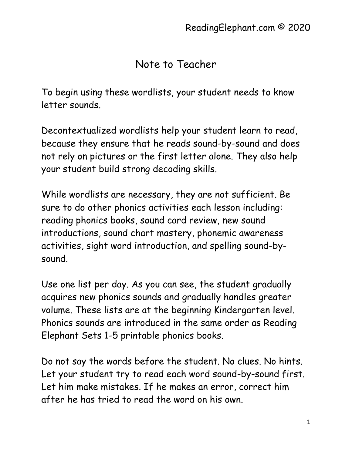## Note to Teacher

To begin using these wordlists, your student needs to know letter sounds.

Decontextualized wordlists help your student learn to read, because they ensure that he reads sound-by-sound and does not rely on pictures or the first letter alone. They also help your student build strong decoding skills.

While wordlists are necessary, they are not sufficient. Be sure to do other phonics activities each lesson including: reading phonics books, sound card review, new sound introductions, sound chart mastery, phonemic awareness activities, sight word introduction, and spelling sound-bysound.

Use one list per day. As you can see, the student gradually acquires new phonics sounds and gradually handles greater volume. These lists are at the beginning Kindergarten level. Phonics sounds are introduced in the same order as Reading Elephant Sets 1-5 printable phonics books.

Do not say the words before the student. No clues. No hints. Let your student try to read each word sound-by-sound first. Let him make mistakes. If he makes an error, correct him after he has tried to read the word on his own.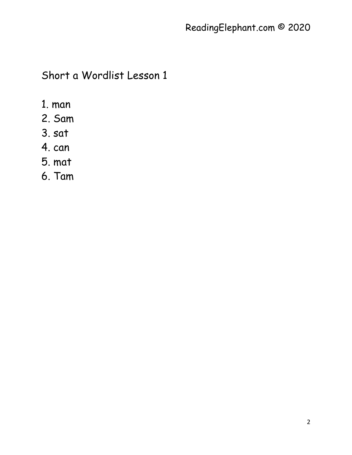- 1. man
- 2. Sam
- 3. sat
- 4. can
- 5. mat
- 6. Tam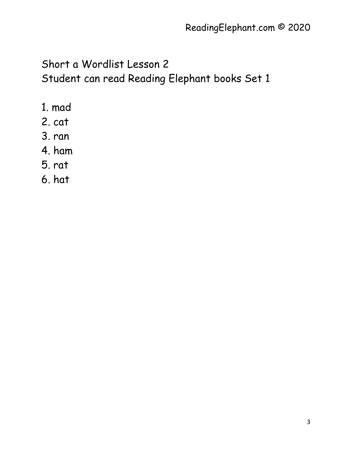- 1. mad
- 2. cat
- 3. ran
- 4. ham
- 5. rat
- 6. hat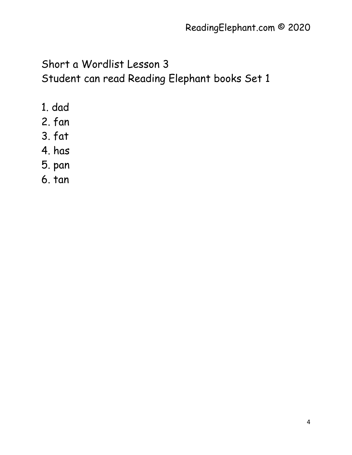Short a Wordlist Lesson 3 Student can read Reading Elephant books Set 1

- 1. dad
- 2. fan
- 3. fat
- 4. has
- 5. pan
- 6. tan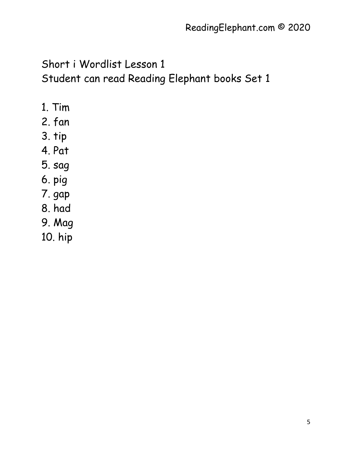- 1. Tim
- 2. fan
- 3. tip
- 4. Pat
- 5. sag
- 6. pig
- 7. gap
- 8. had
- 9. Mag
- 10. hip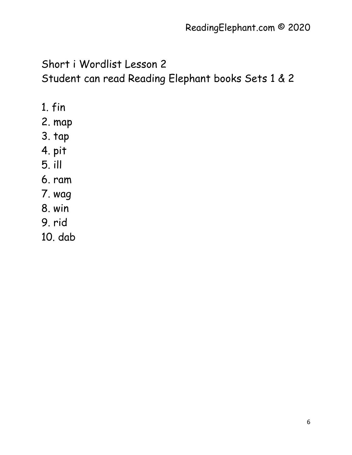- 1. fin
- 2. map
- 3. tap
- 4. pit
- 5. ill
- 6. ram
- 7. wag
- 8. win
- 9. rid
- 10. dab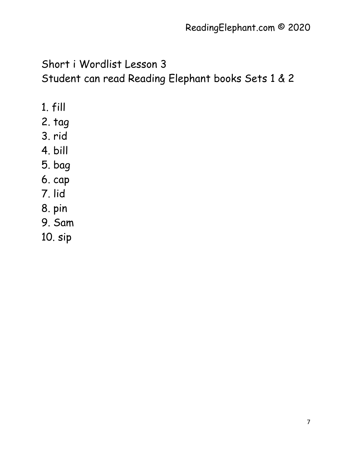- 1. fill
- 2. tag
- 3. rid
- 4. bill
- 5. bag
- 6. cap
- 7. lid
- 8. pin
- 9. Sam
- 10. sip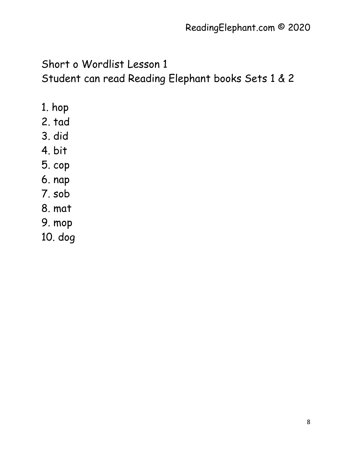Short o Wordlist Lesson 1 Student can read Reading Elephant books Sets 1 & 2

- 1. hop
- 2. tad
- 3. did
- 4. bit
- 5. cop
- 6. nap
- 7. sob
- 8. mat
- 9. mop
- 10. dog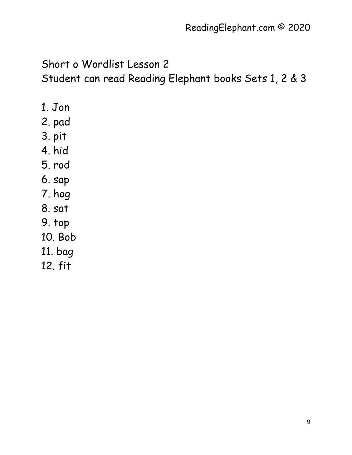- 1. Jon
- 2. pad
- 3. pit
- 4. hid
- 5. rod
- 6. sap
- 7. hog
- 8. sat
- 9. top
- 10. Bob
- 11. bag
- 12. fit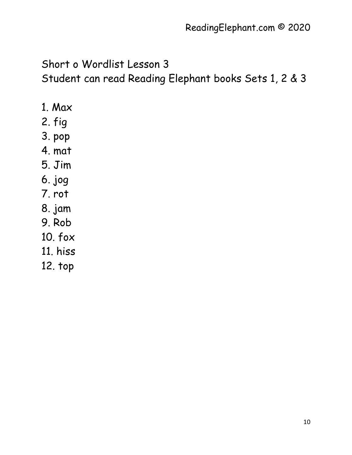- 1. Max
- 2. fig
- 3. pop
- 4. mat
- 5. Jim
- 6. jog
- 7. rot
- 8. jam
- 9. Rob
- 10. fox
- 11. hiss
- 12. top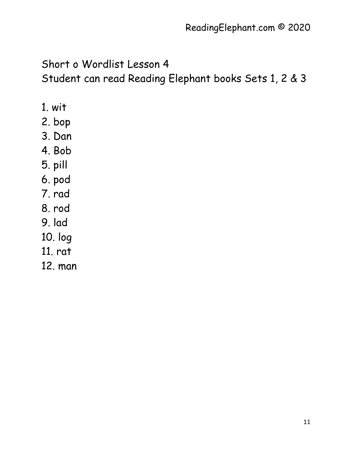- 1. wit
- 2. bop
- 3. Dan
- 4. Bob
- 5. pill
- 6. pod
- 7. rad
- 8. rod
- 9. lad
- 10. log
- 11. rat
- 12. man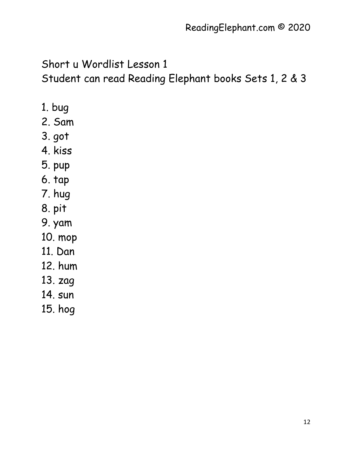- 1. bug
- 2. Sam
- 3. got
- 4. kiss
- 5. pup
- 6. tap
- 7. hug
- 8. pit
- 9. yam
- 10. mop
- 11. Dan
- 12. hum
- 13. zag
- 14. sun
- 15. hog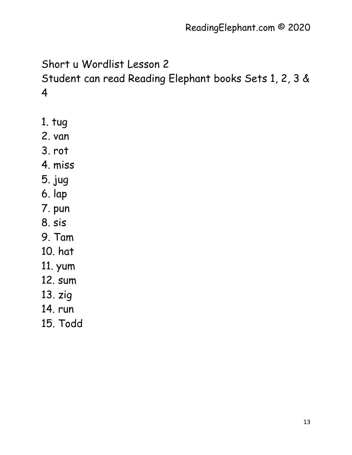- 1. tug
- 2. van
- 3. rot
- 4. miss
- 5. jug
- 6. lap
- 7. pun
- 8. sis
- 9. Tam
- 10. hat
- 11. yum
- 12. sum
- 13. zig
- 14. run
- 15. Todd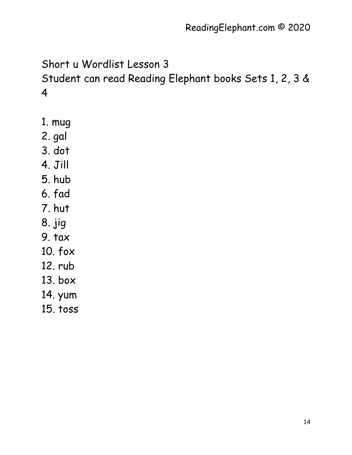- 1. mug
- 2. gal
- 3. dot
- 4. Jill
- 5. hub
- 6. fad
- 7. hut
- 8. jig
- 9. tax
- 10. fox
- 12. rub
- 13. box
- 14. yum
- 15. toss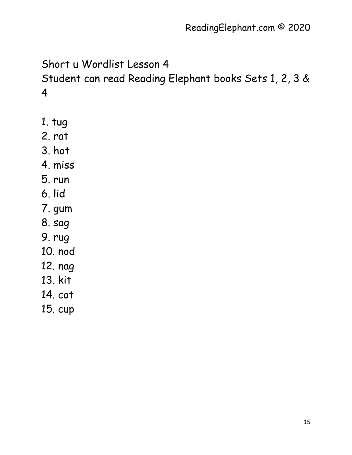- 1. tug
- 2. rat
- 3. hot
- 4. miss
- 5. run
- 6. lid
- 7. gum
- 8. sag
- 9. rug
- 10. nod
- 12. nag
- 13. kit
- 14. cot
- 15. cup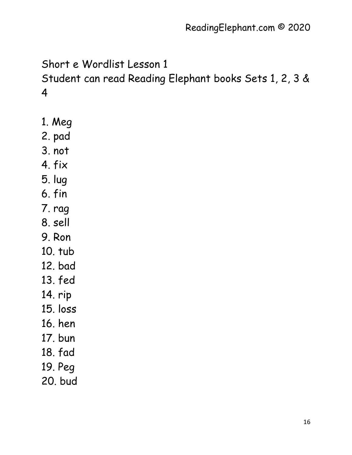- 1. Meg
- 2. pad
- 3. not
- 4. fix
- 5. lug
- 6. fin
- 7. rag
- 8. sell
- 9. Ron
- 10. tub
- 12. bad
- 13. fed
- 14. rip
- 15. loss
- 16. hen
- 17. bun
- 18. fad
- 19. Peg
- 20. bud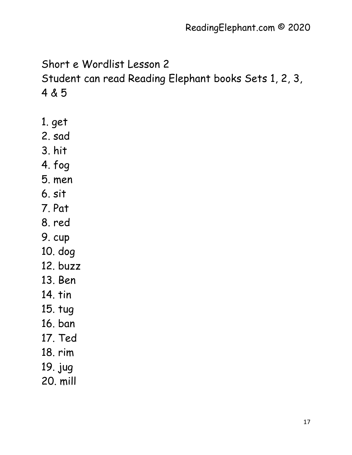- 1. get
- 2. sad
- 3. hit
- 4. fog
- 5. men
- 6. sit
- 7. Pat
- 8. red
- 9. cup
- 10. dog
- 12. buzz
- 13. Ben
- 14. tin
- 15. tug
- 16. ban
- 17. Ted
- 18. rim
- 19. jug
- 20. mill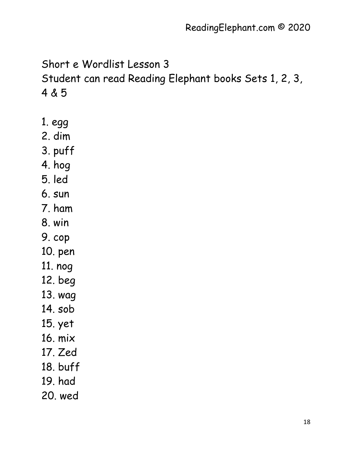- 1. egg
- 2. dim
- 3. puff
- 4. hog
- 5. led
- 6. sun
- 7. ham
- 8. win
- 9. cop
- 10. pen
- 11. nog
- 12. beg
- 13. wag
- 14. sob
- 15. yet
- 16. mix
- 17. Zed
- 18. buff
- 19. had
- 20. wed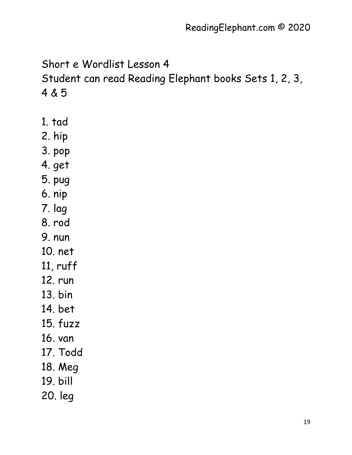- 1. tad
- 2. hip
- 3. pop
- 4. get
- 5. pug
- 6. nip
- 7. lag
- 8. rod
- 9. nun
- 10. net
- 11, ruff
- 12. run
- 13. bin
- 14. bet
- 15. fuzz
- 16. van
- 17. Todd
- 18. Meg
- 19. bill
- 20. leg